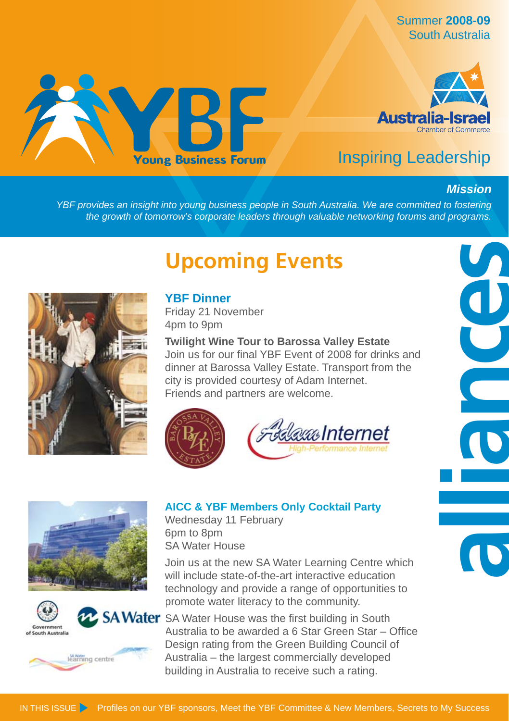Summer **2008-09** South Australia





## Inspiring Leadership

## *Mission*

**alliances**

*YBF provides an insight into young business people in South Australia. We are committed to fostering the growth of tomorrow's corporate leaders through valuable networking forums and programs.*

## **Upcoming Events**



Friday 21 November 4pm to 9pm

**Twilight Wine Tour to Barossa Valley Estate** Join us for our final YBF Event of 2008 for drinks and dinner at Barossa Valley Estate. Transport from the city is provided courtesy of Adam Internet. Friends and partners are welcome.











## **AICC & YBF Members Only Cocktail Party**

Wednesday 11 February 6pm to 8pm SA Water House

Join us at the new SA Water Learning Centre which will include state-of-the-art interactive education technology and provide a range of opportunities to promote water literacy to the community.

**2. SA Water** SA Water House was the first building in South Australia to be awarded a 6 Star Green Star – Office Design rating from the Green Building Council of Australia – the largest commercially developed building in Australia to receive such a rating.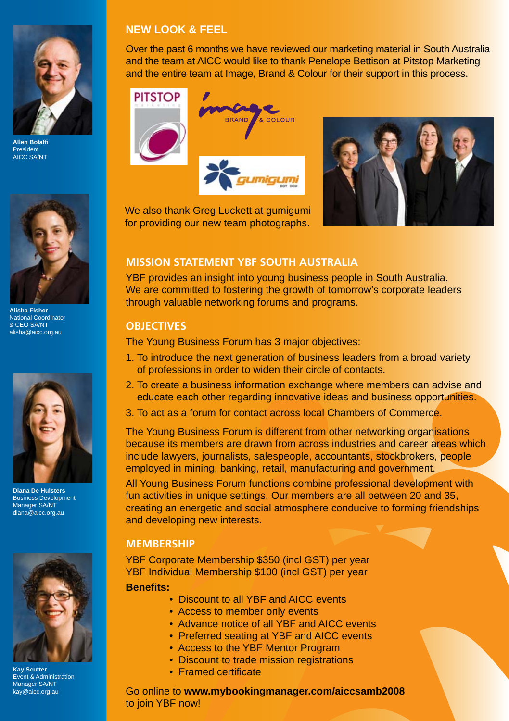

**Allen Bolaffi** President AICC SA/NT



**Alisha Fisher** National Coordinator & CEO SA/NT alisha@aicc.org.au



**Diana De Hulsters** Business Development Manager SA/NT diana@aicc.org.au



**Kay Scutter** Event & Administration Manager SA/NT kay@aicc.org.au

### **NEW LOOK & FEEL**

Over the past 6 months we have reviewed our marketing material in South Australia and the team at AICC would like to thank Penelope Bettison at Pitstop Marketing and the entire team at Image, Brand & Colour for their support in this process.

### **PITSTOP**





We also thank Greg Luckett at gumigumi for providing our new team photographs.

## **MISSION STATEMENT YBF SOUTH AUSTRALIA**

YBF provides an insight into young business people in South Australia. We are committed to fostering the growth of tomorrow's corporate leaders through valuable networking forums and programs.

#### **OBJECTIVES**

The Young Business Forum has 3 major objectives:

- 1. To introduce the next generation of business leaders from a broad variety of professions in order to widen their circle of contacts.
- 2. To create a business information exchange where members can advise and educate each other regarding innovative ideas and business opportunities.
- 3. To act as a forum for contact across local Chambers of Commerce.

The Young Business Forum is different from other networking organisations because its members are drawn from across industries and career areas which include lawyers, journalists, salespeople, accountants, stockbrokers, people employed in mining, banking, retail, manufacturing and government.

All Young Business Forum functions combine professional development with fun activities in unique settings. Our members are all between 20 and 35, creating an energetic and social atmosphere conducive to forming friendships and developing new interests.

#### **MEMBERSHIP**

YBF Corporate Membership \$350 (incl GST) per year YBF Individual Membership \$100 (incl GST) per year

**Benefi ts:**

- Discount to all YBF and AICC events
- Access to member only events
- Advance notice of all YBF and AICC events
- Preferred seating at YBF and AICC events
- Access to the YBF Mentor Program
- Discount to trade mission registrations
- Framed certificate

Go online to **www.mybookingmanager.com/aiccsamb2008** to join YBF now!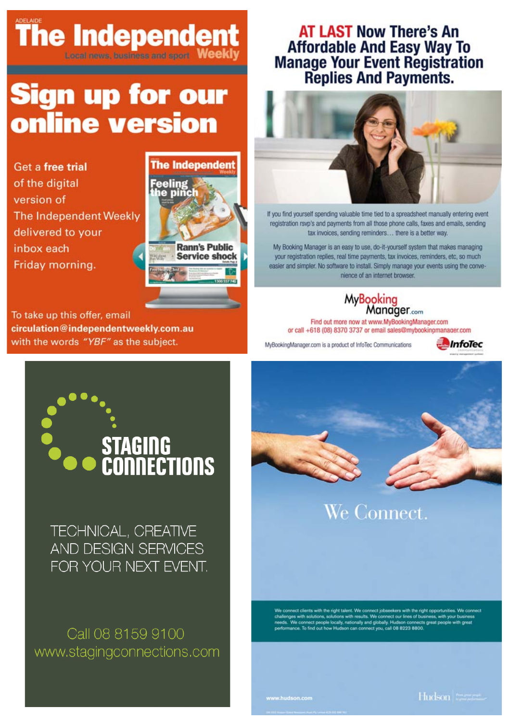# **The Independent**

# Sign up for our online version

Get a free trial of the digital version of The Independent Weekly delivered to your inbox each Friday morning.



To take up this offer, email circulation@independentweekly.com.au with the words "YBF" as the subject.

## **AT LAST Now There's An Affordable And Easy Way To Manage Your Event Registration<br>Replies And Payments.**



If you find yourself spending valuable time tied to a spreadsheet manually entering event registration rsvp's and payments from all those phone calls, faxes and emails, sending tax invoices, sending reminders... there is a better way.

My Booking Manager is an easy to use, do-it-yourself system that makes managing your registration replies, real time payments, tax invoices, reminders, etc, so much easier and simpler. No software to install. Simply manage your events using the convenience of an internet browser.

#### **MyBooking** Manager.com

Find out more now at www.MyBookingManager.com or call +618 (08) 8370 3737 or email sales@mybookinomanager.com

MyBookingManager.com is a product of InfoTec Communications





TECHNICAL, CREATIVE AND DESIGN SERVICES FOR YOUR NEXT EVENT.

Call 08 8159 9100 www.stagingconnections.com



We Connect.

us common write the right issues. We common our lines of business with results. We connect our lines of busine<br>with solutions, solutions with results. We connect our lines of busine<br>common connects given that the business with your b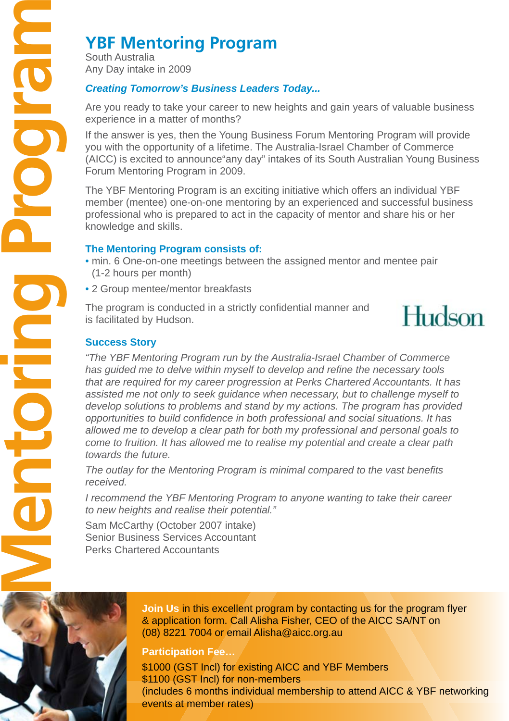South Australia Any Day intake in 2009

## *Creating Tomorrow's Business Leaders Today...*

Are you ready to take your career to new heights and gain years of valuable business experience in a matter of months?

If the answer is yes, then the Young Business Forum Mentoring Program will provide you with the opportunity of a lifetime. The Australia-Israel Chamber of Commerce (AICC) is excited to announce"any day" intakes of its South Australian Young Business Forum Mentoring Program in 2009.

The YBF Mentoring Program is an exciting initiative which offers an individual YBF member (mentee) one-on-one mentoring by an experienced and successful business professional who is prepared to act in the capacity of mentor and share his or her knowledge and skills.

## **The Mentoring Program consists of:**

- min. 6 One-on-one meetings between the assigned mentor and mentee pair (1-2 hours per month)
- 2 Group mentee/mentor breakfasts

The program is conducted in a strictly confidential manner and is facilitated by Hudson.



### **Success Story**

*"The YBF Mentoring Program run by the Australia-Israel Chamber of Commerce*  has quided me to delve within myself to develop and refine the necessary tools *that are required for my career progression at Perks Chartered Accountants. It has assisted me not only to seek guidance when necessary, but to challenge myself to develop solutions to problems and stand by my actions. The program has provided opportunities to build confi dence in both professional and social situations. It has allowed me to develop a clear path for both my professional and personal goals to come to fruition. It has allowed me to realise my potential and create a clear path towards the future.* 

*The outlay for the Mentoring Program is minimal compared to the vast benefi ts received.* 

*I recommend the YBF Mentoring Program to anyone wanting to take their career to new heights and realise their potential."*

Sam McCarthy (October 2007 intake) Senior Business Services Accountant Perks Chartered Accountants



**Join Us in this excellent program by contacting us for the program flyer** & application form. Call Alisha Fisher, CEO of the AICC SA/NT on (08) 8221 7004 or email Alisha@aicc.org.au

**Participation Fee…**

\$1000 (GST Incl) for existing AICC and YBF Members \$1100 (GST Incl) for non-members (includes 6 months individual membership to attend AICC & YBF networking events at member rates)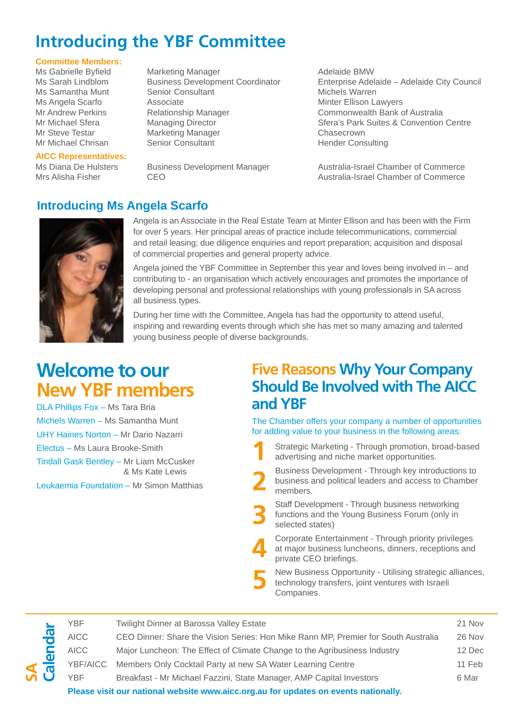## **Introducing the YBF Committee**

## **Committee Members:**

Ms Samantha Munt Senior Consultant Senior Consultant Michels Michels Warren Michels Warren Senior Co

## **AICC Representatives:**

Marketing Manager **Manager Adelaide BMW** Ms Angela Scarfo Associate Minter Ellison Lawyers Mr Steve Testar **Marketing Manager** Chasecrown<br>Mr Michael Chrisan Senior Consultant Chasecrown

Ms Sarah Lindblom Business Development Coordinator Enterprise Adelaide – Adelaide City Council<br>Michels Warren Munt Senior Consultant Munical Michels Warren Commonwealth Bank of Australia Mr Michael Sfera Managing Director Sfera's Park Suites & Convention Centre Hender Consulting

Ms Diana De Hulsters Business Development Manager Australia-Israel Chamber of Commerce<br>Mrs Alisha Fisher CEO CEO Australia-Israel Chamber of Commerce Australia-Israel Chamber of Commerce

## **Introducing Ms Angela Scarfo**



**SA**

Angela is an Associate in the Real Estate Team at Minter Ellison and has been with the Firm for over 5 years. Her principal areas of practice include telecommunications, commercial and retail leasing; due diligence enquiries and report preparation; acquisition and disposal of commercial properties and general property advice.

Angela joined the YBF Committee in September this year and loves being involved in – and contributing to - an organisation which actively encourages and promotes the importance of developing personal and professional relationships with young professionals in SA across all business types.

During her time with the Committee, Angela has had the opportunity to attend useful, inspiring and rewarding events through which she has met so many amazing and talented young business people of diverse backgrounds.

## **Welcome to our New YBF members**

DLA Phillips Fox – Ms Tara Bria Michels Warren – Ms Samantha Munt UHY Haines Norton – Mr Dario Nazarri Electus – Ms Laura Brooke-Smith Tindall Gask Bentley – Mr Liam McCusker & Ms Kate Lewis Leukaemia Foundation – Mr Simon Matthias

## **Five Reasons Why Your Company Should Be Involved with The AICC and YBF**

The Chamber offers your company a number of opportunities for adding value to your business in the following areas:

- Strategic Marketing Through promotion, broad-based advertising and niche market opportunities. **1**
- Business Development Through key introductions to business and political leaders and access to Chamber members. **2**
- Staff Development Through business networking functions and the Young Business Forum (only in selected states) **3**

 Corporate Entertainment - Through priority privileges at major business luncheons, dinners, receptions and private CEO briefings. **4**

 New Business Opportunity - Utilising strategic alliances, technology transfers, joint ventures with Israeli Companies. **5**

|           | <b>AICC</b><br>YBF/AICC | Major Luncheon: The Effect of Climate Change to the Agribusiness Industry<br>Members Only Cocktail Party at new SA Water Learning Centre | 12 Dec<br>11 Feb |
|-----------|-------------------------|------------------------------------------------------------------------------------------------------------------------------------------|------------------|
| <u>මේ</u> | YBF                     | Breakfast - Mr Michael Fazzini, State Manager, AMP Capital Investors                                                                     | 6 Mar            |
|           |                         | Please visit our national website www.aicc.org.au for updates on events nationally.                                                      |                  |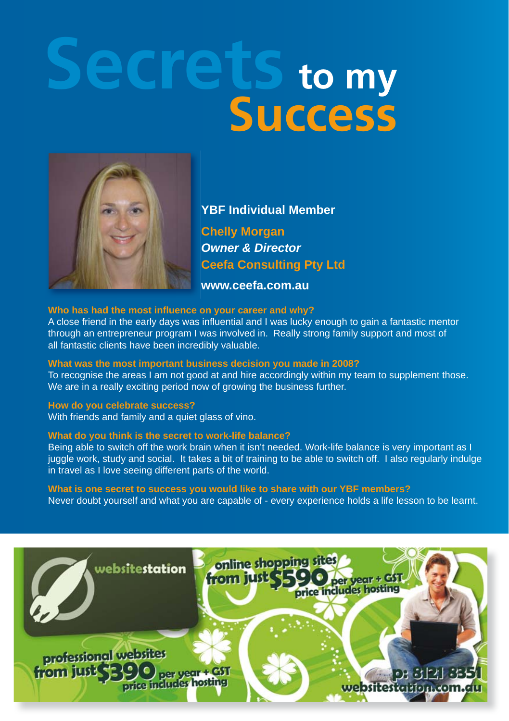# **Secrets to my Success**



**YBF Individual Member Chelly Morgan** *Owner & Director*  **Ceefa Consulting Pty Ltd**

**www.ceefa.com.au**

#### Who has had the most influence on your career and why?

A close friend in the early days was influential and I was lucky enough to gain a fantastic mentor through an entrepreneur program I was involved in. Really strong family support and most of all fantastic clients have been incredibly valuable.

#### **What was the most important business decision you made in 2008?**

To recognise the areas I am not good at and hire accordingly within my team to supplement those. We are in a really exciting period now of growing the business further.

#### **How do you celebrate success?**

With friends and family and a quiet glass of vino.

#### **What do you think is the secret to work-life balance?**

Being able to switch off the work brain when it isn't needed. Work-life balance is very important as I juggle work, study and social. It takes a bit of training to be able to switch off. I also regularly indulge in travel as I love seeing different parts of the world.

#### **What is one secret to success you would like to share with our YBF members?**

Never doubt yourself and what you are capable of - every experience holds a life lesson to be learnt.

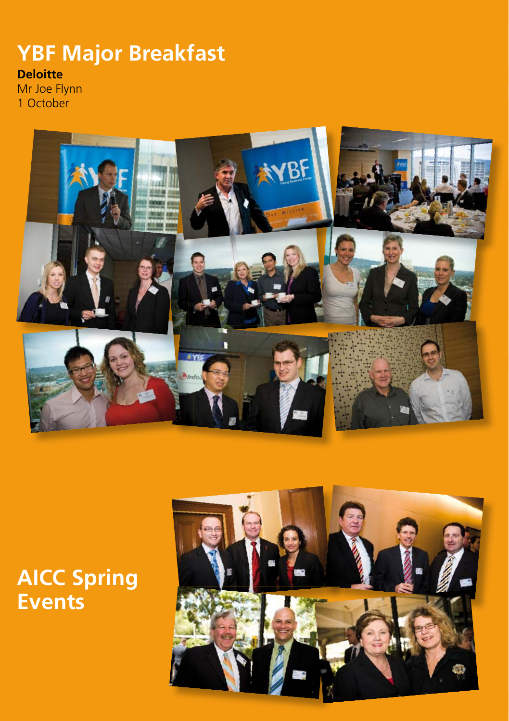# **YBF Major Breakfast**

## **Deloitte**

Mr Joe Flynn 1 October



# **AICC Spring Events**